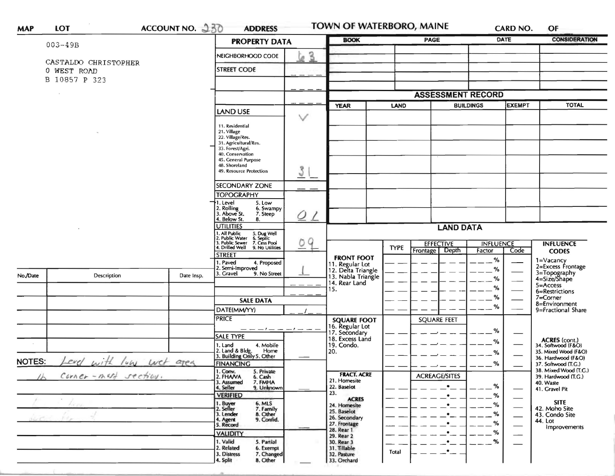|               |                          |                    | <b>PROPERTY DATA</b>                                                                                                      | <b>BOOK</b>       |                                                             | <b>PAGE</b>                     |                          | <b>DATE</b>      | OF<br><b>CONSIDERATION</b>   |                                              |
|---------------|--------------------------|--------------------|---------------------------------------------------------------------------------------------------------------------------|-------------------|-------------------------------------------------------------|---------------------------------|--------------------------|------------------|------------------------------|----------------------------------------------|
|               | $003 - 49B$              |                    |                                                                                                                           |                   |                                                             |                                 |                          |                  |                              |                                              |
|               | CASTALDO CHRISTOPHER     |                    | NEIGHBORHOOD CODE                                                                                                         | $\mathbf{B}$<br>ø |                                                             |                                 |                          |                  |                              |                                              |
|               | O WEST ROAD              |                    | <b>STREET CODE</b>                                                                                                        |                   |                                                             |                                 |                          |                  |                              |                                              |
|               | 10857 P 323<br>В         |                    |                                                                                                                           |                   |                                                             |                                 |                          |                  |                              |                                              |
|               |                          |                    |                                                                                                                           |                   |                                                             |                                 |                          |                  |                              |                                              |
|               |                          |                    |                                                                                                                           |                   |                                                             | <b>ASSESSMENT RECORD</b>        |                          |                  |                              |                                              |
|               |                          |                    | <b>LAND USE</b>                                                                                                           |                   | <b>YEAR</b>                                                 | <b>BUILDINGS</b><br><b>LAND</b> |                          | <b>EXEMPT</b>    |                              | <b>TOTAL</b>                                 |
|               |                          |                    | 11. Residential                                                                                                           | $\checkmark$      |                                                             |                                 |                          |                  |                              |                                              |
|               |                          |                    | 21. Village                                                                                                               |                   |                                                             |                                 |                          |                  |                              |                                              |
|               |                          |                    | 22. Village/Res.<br>31. Agricultural/Res.                                                                                 |                   |                                                             |                                 |                          |                  |                              |                                              |
|               |                          |                    | 33. Forest/Agri.<br>40. Conservation                                                                                      |                   |                                                             |                                 |                          |                  |                              |                                              |
|               |                          |                    | 45. General Purpose                                                                                                       |                   |                                                             |                                 |                          |                  |                              |                                              |
|               |                          |                    | 48. Shoreland<br>49. Resource Protection                                                                                  | 3                 |                                                             |                                 |                          |                  |                              |                                              |
|               |                          |                    | <b>SECONDARY ZONE</b>                                                                                                     |                   |                                                             |                                 |                          |                  |                              |                                              |
|               |                          |                    | <b>TOPOGRAPHY</b>                                                                                                         |                   |                                                             |                                 |                          |                  |                              |                                              |
|               |                          |                    | 1. Level<br>5. Low<br>6. Swampy                                                                                           |                   |                                                             |                                 |                          |                  |                              |                                              |
|               |                          |                    | 2. Rolling<br>3. Above St.<br>7. Steep<br>4. Below St.<br>8.                                                              | Ο                 |                                                             |                                 |                          |                  |                              |                                              |
|               |                          |                    | <b>UTILITIES</b>                                                                                                          |                   |                                                             | <b>LAND DATA</b>                |                          |                  |                              |                                              |
|               |                          |                    | 1. All Public 5. Dug Well<br>2. Public Water 6. Septic<br>3. Public Sewer 7. Cess Pool<br>4. Drilled Well 9. No Utilities |                   |                                                             |                                 |                          |                  |                              |                                              |
|               |                          |                    |                                                                                                                           | 9<br>0            |                                                             | <b>TYPE</b>                     | <b>EFFECTIVE</b>         | <b>INFLUENCE</b> |                              | <b>INFLUENCE</b>                             |
|               |                          |                    | <b>STREET</b>                                                                                                             |                   | <b>FRONT FOOT</b>                                           |                                 | <b>Depth</b><br>Frontage | Factor           | Code                         | <b>CODES</b>                                 |
|               |                          |                    | 1. Paved<br>4. Proposed                                                                                                   |                   |                                                             |                                 |                          | %                |                              | 1=Vacancy<br>2=Excess Frontage               |
| No./Date      | Description              | Date Insp.         | 2. Semi-Improved<br>3. Gravel<br>9. No Street                                                                             |                   | 11. Regular Lot<br>12. Delta Triangle<br>13. Nabla Triangle |                                 |                          | %                |                              | 3=Topography<br>4=Size/Shape                 |
|               |                          |                    |                                                                                                                           |                   | 14. Rear Land                                               |                                 |                          | %                |                              | $5 = Access$                                 |
|               |                          |                    |                                                                                                                           |                   | 15.                                                         |                                 |                          | ℅                |                              | 6=Restrictions                               |
|               |                          |                    | <b>SALE DATA</b>                                                                                                          |                   |                                                             |                                 |                          | %                |                              | 7=Corner<br>8=Environment                    |
|               |                          |                    | DATE(MM/YY)                                                                                                               |                   |                                                             |                                 |                          | %                |                              | 9=Fractional Share                           |
|               |                          |                    | <b>PRICE</b>                                                                                                              |                   | <b>SQUARE FOOT</b>                                          |                                 | <b>SQUARE FEET</b>       |                  |                              |                                              |
|               |                          |                    |                                                                                                                           | $-1-$             | 16. Regular Lot<br>17. Secondary                            |                                 |                          | %                |                              |                                              |
|               |                          |                    | SALE TYPE                                                                                                                 |                   | 18. Excess Land                                             |                                 |                          | %                |                              | ACRES (cont.)<br>34. Softwood (F&O)          |
|               |                          |                    | 4. Mobile<br>1. Land<br>Home                                                                                              |                   | 19. Condo.<br>20.                                           |                                 |                          | %                |                              | 35. Mixed Wood (F&O)                         |
| <b>NOTES:</b> | Level with lun wet area  |                    | 2. Land & Bldg. Home<br>3. Building Only 5. Other                                                                         |                   |                                                             |                                 |                          |                  |                              | 36. Hardwood (F&O)                           |
|               |                          |                    | <b>FINANCING</b><br>1. Conv.<br>5. Private                                                                                |                   |                                                             |                                 |                          | ℅                |                              | 37. Softwood (T.G.)<br>38. Mixed Wood (T.G.) |
|               | $Corner - m(f)$ section. |                    | 2. FHANA<br>6. Cash                                                                                                       |                   | <b>FRACT. ACRE</b><br>21. Homesite                          |                                 | <b>ACREAGE/SITES</b>     |                  |                              | 39. Hardwood (T.G.)                          |
|               |                          |                    | 3. Assumed<br>7. FMHA<br>4. Seller<br>9. Unknown                                                                          |                   | 22. Baselot                                                 |                                 | $\bullet$                | $-2^{\circ}$     |                              | 40. Waste<br>41. Gravel Pit                  |
|               |                          |                    | <b>VERIFIED</b>                                                                                                           |                   | 23.<br><b>ACRES</b>                                         |                                 | $\bullet$                | $- -$ %          | —                            |                                              |
|               | Ficau                    | 1. Buyer<br>6. MLS |                                                                                                                           | 24. Homesite      |                                                             |                                 | $--$ %                   |                  | <b>SITE</b><br>42. Moho Site |                                              |
|               |                          |                    | 2. Seller<br>7. Family<br>3. Lender<br>8. Other                                                                           |                   | 25. Baselot<br>26. Secondary                                |                                 |                          | $- -$ %          |                              | 43. Condo Site                               |
|               |                          |                    | 9. Confid.<br>4. Agent<br>5. Record                                                                                       |                   | 27. Frontage                                                |                                 |                          | $- -$ %          |                              | 44. Lot<br>Improvements                      |
|               |                          |                    | <b>VALIDITY</b>                                                                                                           |                   | 28. Rear 1<br>29. Rear 2                                    |                                 |                          | %                | --                           |                                              |
|               |                          |                    | 1. Valid<br>5. Partial                                                                                                    |                   | 30. Rear 3                                                  |                                 | $\bullet$                | %                |                              |                                              |
|               |                          |                    | 2. Related<br>6. Exempt<br>7. Changed<br>3. Distress                                                                      |                   | 31. Tillable<br>32. Pasture                                 | Total                           | <u>.</u>                 |                  |                              |                                              |
|               |                          |                    | 4. Split<br>8. Other                                                                                                      |                   | 33. Orchard                                                 |                                 |                          |                  |                              |                                              |